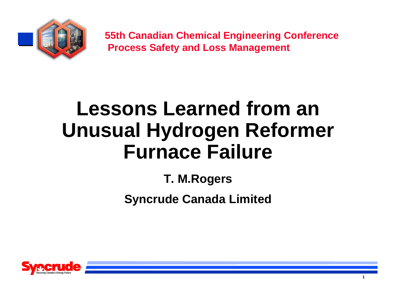

**55th Canadian Chemical Engineering Conference Process Safety and Loss Management**

# **Lessons Learned from an Unusual Hydrogen Reformer Furnace Failure**

### **T. M.Rogers**

**Syncrude Canada Limited**

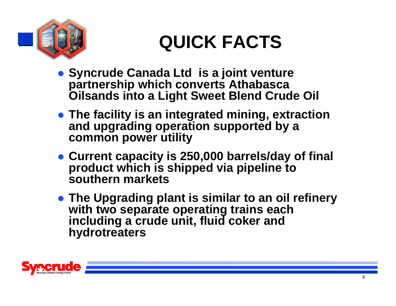

# **QUICK FACTS**

- **Syncrude Canada Ltd is a joint venture partnership which converts Athabasca Oilsands into a Light Sweet Blend Crude Oil**
- **The facility is an integrated mining, extraction and upgrading operation supported by a common power utility**
- Current capacity is 250,000 barrels/day of final **product which is shipped via pipeline to southern markets**
- **The Upgrading plant is similar to an oil refinery with two separate operating trains each including a crude unit, fluid coker and hydrotreaters**

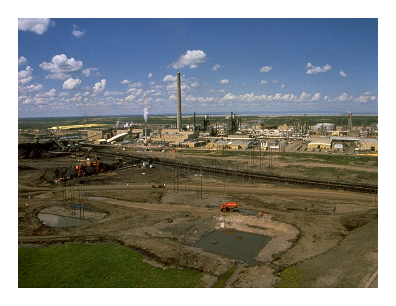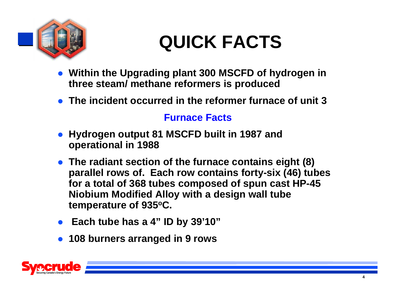

# **QUICK FACTS**

- **Within the Upgrading plant 300 MSCFD of hydrogen in three steam/ methane reformers is produced**
- **The incident occurred in the reformer furnace of unit 3**

### **Furnace Facts**

- z **Hydrogen output 81 MSCFD built in 1987 and operational in 1988**
- **The radiant section of the furnace contains eight (8) parallel rows of. Each row contains forty-six (46) tubes for a total of 368 tubes composed of spun cast HP-45 Niobium Modified Alloy with a design wall tube temperature of 935oC.**
- z **Each tube has a 4" ID by 39'10"**
- **108 burners arranged in 9 rows**

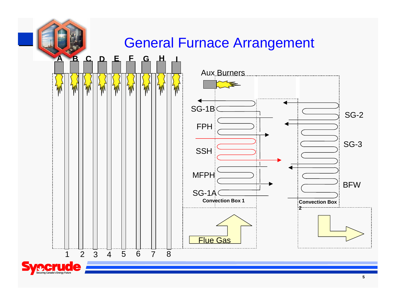### General Furnace Arrangement

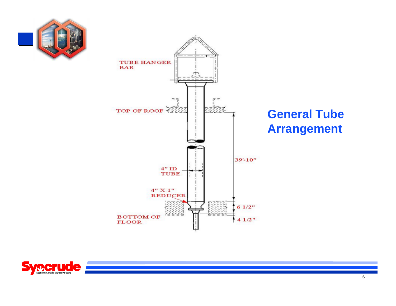



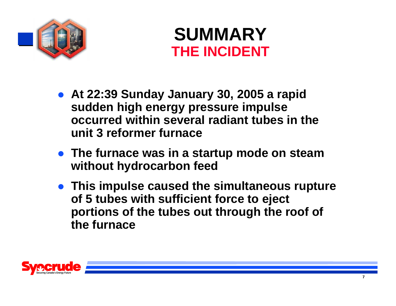

### **SUMMARYTHE INCIDENT**

- z **At 22:39 Sunday January 30, 2005 a rapid sudden high energy pressure impulse occurred within several radiant tubes in the unit 3 reformer furnace**
- **The furnace was in a startup mode on steam without hydrocarbon feed**
- **This impulse caused the simultaneous rupture of 5 tubes with sufficient force to eject portions of the tubes out through the roof of the furnace**

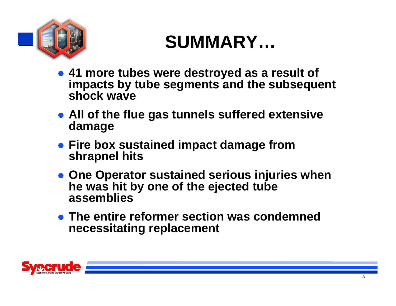

## **SUMMARY…**

- **41 more tubes were destroyed as a result of impacts by tube segments and the subsequent shock wave**
- **All of the flue gas tunnels suffered extensive damage**
- **Fire box sustained impact damage from shrapnel hits**
- **One Operator sustained serious injuries when he was hit by one of the ejected tube assemblies**
- **The entire reformer section was condemned necessitating replacement**

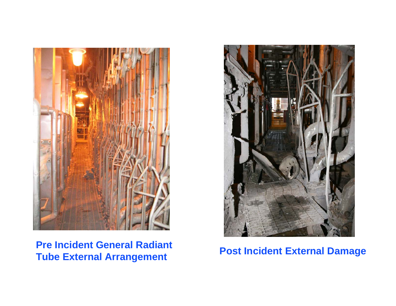

**Pre Incident General Radiant Tube External Arrangement Post Incident External Damage**

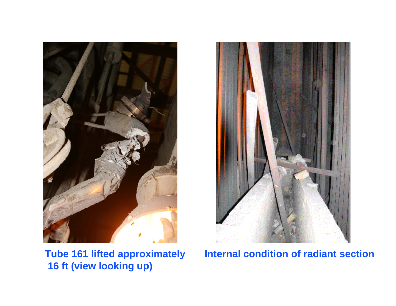

### **Tube 161 lifted approximately 16 ft (view looking up)**



**Internal condition of radiant section**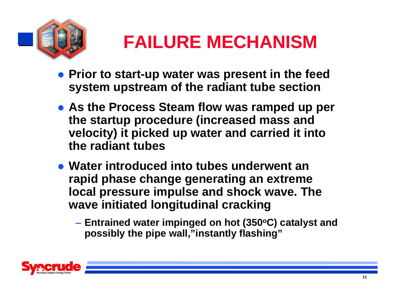

## **FAILURE MECHANISM**

- **Prior to start-up water was present in the feed system upstream of the radiant tube section**
- **As the Process Steam flow was ramped up per the startup procedure (increased mass and velocity) it picked up water and carried it into the radiant tubes**
- **Water introduced into tubes underwent an rapid phase change generating an extreme local pressure impulse and shock wave. The wave initiated longitudinal cracking**
	- $-$  Entrained water impinged on hot (350°C) catalyst and **possibly the pipe wall,"instantly flashing"**

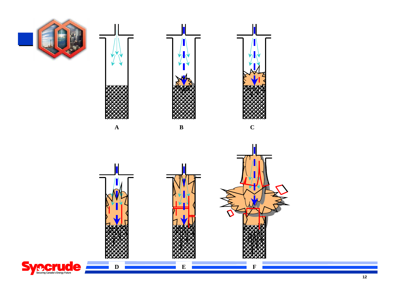



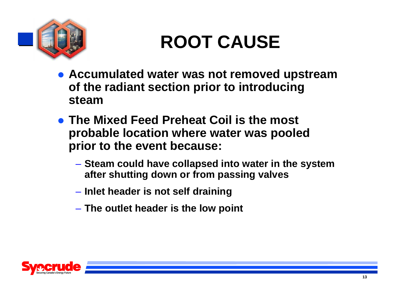

# **ROOT CAUSE**

- **Accumulated water was not removed upstream of the radiant section prior to introducing steam**
- **The Mixed Feed Preheat Coil is the most probable location where water was pooled prior to the event because:**
	- **Steam could have collapsed into water in the system after shutting down or from passing valves**
	- **Inlet header is not self draining**
	- **The outlet header is the low point**

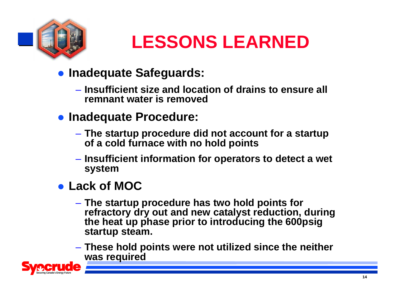

## **LESSONS LEARNED**

- **Inadequate Safeguards:** 
	- **Insufficient size and location of drains to ensure all remnant water is removed**

### **• Inadequate Procedure:**

- **The startup procedure did not account for a startup of a cold furnace with no hold points**
- **Insufficient information for operators to detect a wet system**

### **• Lack of MOC**

- **The startup procedure has two hold points for refractory dry out and new catalyst reduction, during the heat up phase prior to introducing the 600psig startup steam.**
- **These hold points were not utilized since the neither was required**